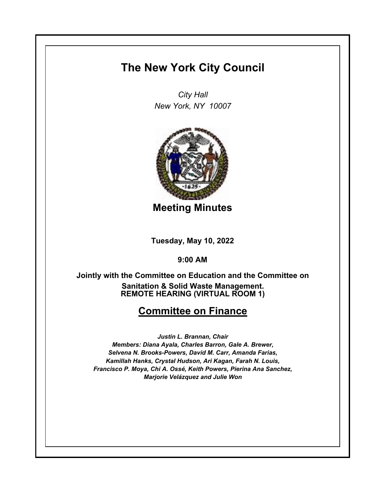## **The New York City Council**

*City Hall New York, NY 10007*



**Meeting Minutes**

**Tuesday, May 10, 2022**

**9:00 AM**

**REMOTE HEARING (VIRTUAL ROOM 1) Jointly with the Committee on Education and the Committee on Sanitation & Solid Waste Management.**

## **Committee on Finance**

*Justin L. Brannan, Chair Members: Diana Ayala, Charles Barron, Gale A. Brewer, Selvena N. Brooks-Powers, David M. Carr, Amanda Farias, Kamillah Hanks, Crystal Hudson, Ari Kagan, Farah N. Louis, Francisco P. Moya, Chi A. Ossé, Keith Powers, Pierina Ana Sanchez, Marjorie Velázquez and Julie Won*